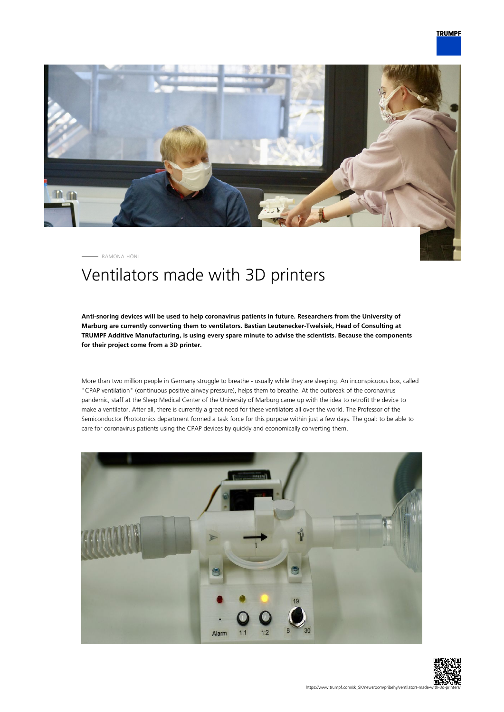

RAMONA HÖNL

## Ventilators made with 3D printers

**Anti-snoring devices will be used to help coronavirus patients in future. Researchers from the University of Marburg are currently converting them to ventilators. Bastian Leutenecker-Twelsiek, Head of Consulting at TRUMPF Additive Manufacturing, is using every spare minute to advise the scientists. Because the components for their project come from a 3D printer.**

More than two million people in Germany struggle to breathe - usually while they are sleeping. An inconspicuous box, called "CPAP ventilation" (continuous positive airway pressure), helps them to breathe. At the outbreak of the coronavirus pandemic, staff at the Sleep Medical Center of the University of Marburg came up with the idea to retrofit the device to make a ventilator. After all, there is currently a great need for these ventilators all over the world. The Professor of the Semiconductor Phototonics department formed a task force for this purpose within just a few days. The goal: to be able to care for coronavirus patients using the CPAP devices by quickly and economically converting them.



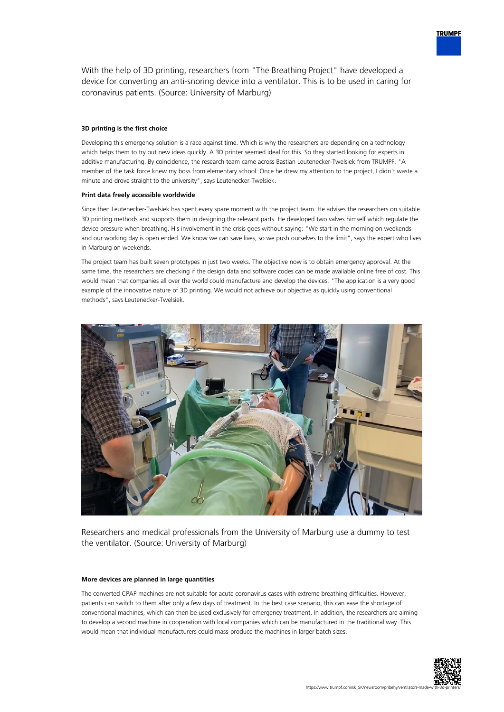

## **3D printing is the first choice**

Developing this emergency solution is a race against time. Which is why the researchers are depending on a technology which helps them to try out new ideas quickly. A 3D printer seemed ideal for this. So they started looking for experts in additive manufacturing. By coincidence, the research team came across Bastian Leutenecker-Twelsiek from TRUMPF. "A member of the task force knew my boss from elementary school. Once he drew my attention to the project, I didn't waste a minute and drove straight to the university", says Leutenecker-Twelsiek.

## **Print data freely accessible worldwide**

Since then Leutenecker-Twelsiek has spent every spare moment with the project team. He advises the researchers on suitable 3D printing methods and supports them in designing the relevant parts. He developed two valves himself which regulate the device pressure when breathing. His involvement in the crisis goes without saying: "We start in the morning on weekends and our working day is open ended. We know we can save lives, so we push ourselves to the limit", says the expert who lives in Marburg on weekends.

The project team has built seven prototypes in just two weeks. The objective now is to obtain emergency approval. At the same time, the researchers are checking if the design data and software codes can be made available online free of cost. This would mean that companies all over the world could manufacture and develop the devices. "The application is a very good example of the innovative nature of 3D printing. We would not achieve our objective as quickly using conventional methods", says Leutenecker-Twelsiek.



Researchers and medical professionals from the University of Marburg use a dummy to test the ventilator. (Source: University of Marburg)

## **More devices are planned in large quantities**

The converted CPAP machines are not suitable for acute coronavirus cases with extreme breathing difficulties. However, patients can switch to them after only a few days of treatment. In the best case scenario, this can ease the shortage of conventional machines, which can then be used exclusively for emergency treatment. In addition, the researchers are aiming to develop a second machine in cooperation with local companies which can be manufactured in the traditional way. This would mean that individual manufacturers could mass-produce the machines in larger batch sizes.



**TRUMPF**